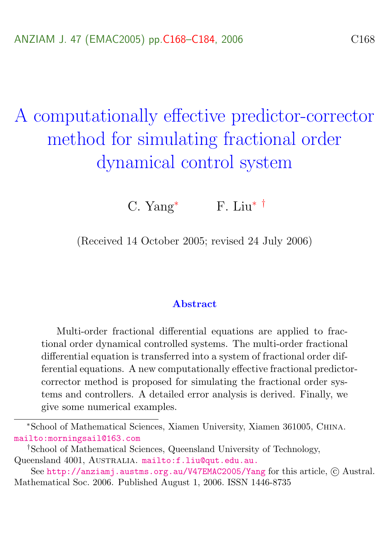# <span id="page-0-0"></span>A computationally effective predictor-corrector method for simulating fractional order dynamical control system

C. Yang<sup>\*</sup> F. Liu<sup>\*</sup> <sup>†</sup>

(Received 14 October 2005; revised 24 July 2006)

#### Abstract

Multi-order fractional differential equations are applied to fractional order dynamical controlled systems. The multi-order fractional differential equation is transferred into a system of fractional order differential equations. A new computationally effective fractional predictorcorrector method is proposed for simulating the fractional order systems and controllers. A detailed error analysis is derived. Finally, we give some numerical examples.

<sup>∗</sup>School of Mathematical Sciences, Xiamen University, Xiamen 361005, China. <mailto:morningsail@163.com>

<sup>†</sup>School of Mathematical Sciences, Queensland University of Technology, Queensland 4001, AUSTRALIA. <mailto:f.liu@qut.edu.au.>

See <http://anziamj.austms.org.au/V47EMAC2005/Yang> for this article, © Austral. Mathematical Soc. 2006. Published August 1, 2006. ISSN 1446-8735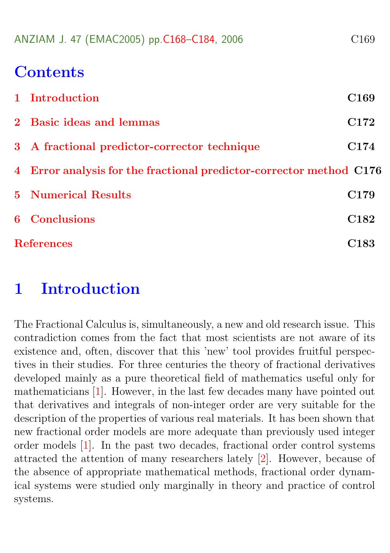<span id="page-1-1"></span>

| ANZIAM J. 47 (EMAC2005) pp.C168-C184, 2006 | C <sub>169</sub> |
|--------------------------------------------|------------------|
|--------------------------------------------|------------------|

## **Contents**

| 1 Introduction                                                      | C <sub>169</sub> |
|---------------------------------------------------------------------|------------------|
| 2 Basic ideas and lemmas                                            | C <sub>172</sub> |
| 3 A fractional predictor-corrector technique                        | C <sub>174</sub> |
| 4 Error analysis for the fractional predictor-corrector method C176 |                  |
| <b>5</b> Numerical Results                                          | C <sub>179</sub> |
| 6 Conclusions                                                       | C <sub>182</sub> |
| <b>References</b>                                                   | C <sub>183</sub> |

## <span id="page-1-0"></span>1 Introduction

The Fractional Calculus is, simultaneously, a new and old research issue. This contradiction comes from the fact that most scientists are not aware of its existence and, often, discover that this 'new' tool provides fruitful perspectives in their studies. For three centuries the theory of fractional derivatives developed mainly as a pure theoretical field of mathematics useful only for mathematicians [\[1\]](#page-15-1). However, in the last few decades many have pointed out that derivatives and integrals of non-integer order are very suitable for the description of the properties of various real materials. It has been shown that new fractional order models are more adequate than previously used integer order models [\[1\]](#page-15-1). In the past two decades, fractional order control systems attracted the attention of many researchers lately [\[2\]](#page-15-2). However, because of the absence of appropriate mathematical methods, fractional order dynamical systems were studied only marginally in theory and practice of control systems.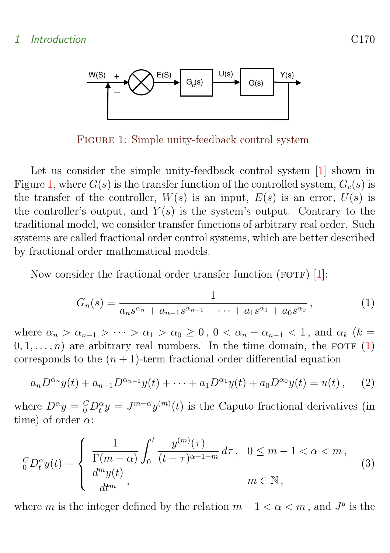#### <span id="page-2-2"></span>1 Introduction C170



<span id="page-2-0"></span>Figure 1: Simple unity-feedback control system

Let us consider the simple unity-feedback control system [\[1\]](#page-15-1) shown in Figure [1,](#page-2-0) where  $G(s)$  is the transfer function of the controlled system,  $G_c(s)$  is the transfer of the controller,  $W(s)$  is an input,  $E(s)$  is an error,  $U(s)$  is the controller's output, and  $Y(s)$  is the system's output. Contrary to the traditional model, we consider transfer functions of arbitrary real order. Such systems are called fractional order control systems, which are better described by fractional order mathematical models.

Now consider the fractional order transfer function  $(FOTF)$  [\[1\]](#page-15-1):

<span id="page-2-1"></span>
$$
G_n(s) = \frac{1}{a_n s^{\alpha_n} + a_{n-1} s^{\alpha_{n-1}} + \dots + a_1 s^{\alpha_1} + a_0 s^{\alpha_0}},
$$
\n(1)

where  $\alpha_n > \alpha_{n-1} > \cdots > \alpha_1 > \alpha_0 \geq 0$ ,  $0 < \alpha_n - \alpha_{n-1} < 1$ , and  $\alpha_k$  (k =  $(0, 1, \ldots, n)$  are arbitrary real numbers. In the time domain, the FOTF  $(1)$ corresponds to the  $(n + 1)$ -term fractional order differential equation

$$
a_n D^{\alpha_n} y(t) + a_{n-1} D^{\alpha_{n-1}} y(t) + \dots + a_1 D^{\alpha_1} y(t) + a_0 D^{\alpha_0} y(t) = u(t), \quad (2)
$$

where  $D^{\alpha}y = {}_{0}^{C}D_t^{\alpha}y = J^{m-\alpha}y^{(m)}(t)$  is the Caputo fractional derivatives (in time) of order  $\alpha$ :

$$
{}_{0}^{C}D_{t}^{\alpha}y(t) = \begin{cases} \frac{1}{\Gamma(m-\alpha)} \int_{0}^{t} \frac{y^{(m)}(\tau)}{(t-\tau)^{\alpha+1-m}} d\tau, & 0 \leq m-1 < \alpha < m, \\ \frac{d^{m}y(t)}{dt^{m}}, & m \in \mathbb{N}, \end{cases}
$$
(3)

where m is the integer defined by the relation  $m-1 < \alpha < m$ , and  $J<sup>q</sup>$  is the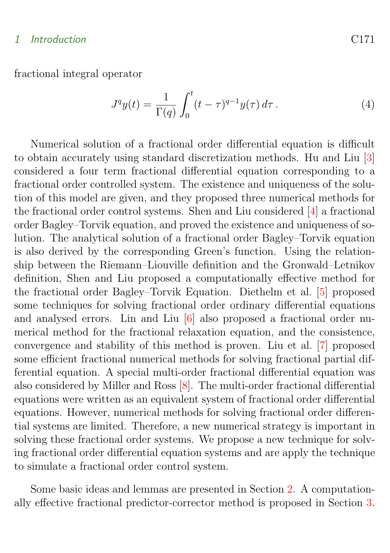#### <span id="page-3-0"></span>1 Introduction C171

fractional integral operator

$$
J^{q}y(t) = \frac{1}{\Gamma(q)} \int_{0}^{t} (t - \tau)^{q-1} y(\tau) d\tau.
$$
 (4)

Numerical solution of a fractional order differential equation is difficult to obtain accurately using standard discretization methods. Hu and Liu [\[3\]](#page-15-3) considered a four term fractional differential equation corresponding to a fractional order controlled system. The existence and uniqueness of the solution of this model are given, and they proposed three numerical methods for the fractional order control systems. Shen and Liu considered [\[4\]](#page-15-4) a fractional order Bagley–Torvik equation, and proved the existence and uniqueness of solution. The analytical solution of a fractional order Bagley–Torvik equation is also derived by the corresponding Green's function. Using the relationship between the Riemann–Liouville definition and the Gronwald–Letnikov definition, Shen and Liu proposed a computationally effective method for the fractional order Bagley–Torvik Equation. Diethelm et al. [\[5\]](#page-15-5) proposed some techniques for solving fractional order ordinary differential equations and analysed errors. Lin and Liu [\[6\]](#page-15-6) also proposed a fractional order numerical method for the fractional relaxation equation, and the consistence, convergence and stability of this method is proven. Liu et al. [\[7\]](#page-15-7) proposed some efficient fractional numerical methods for solving fractional partial differential equation. A special multi-order fractional differential equation was also considered by Miller and Ross [\[8\]](#page-16-0). The multi-order fractional differential equations were written as an equivalent system of fractional order differential equations. However, numerical methods for solving fractional order differential systems are limited. Therefore, a new numerical strategy is important in solving these fractional order systems. We propose a new technique for solving fractional order differential equation systems and are apply the technique to simulate a fractional order control system.

Some basic ideas and lemmas are presented in Section [2.](#page-4-0) A computationally effective fractional predictor-corrector method is proposed in Section [3.](#page-6-0)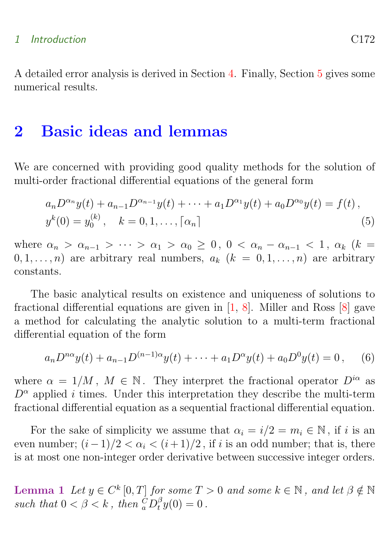#### <span id="page-4-3"></span>1 Introduction C172

A detailed error analysis is derived in Section [4.](#page-8-0) Finally, Section [5](#page-11-0) gives some numerical results.

## <span id="page-4-0"></span>2 Basic ideas and lemmas

We are concerned with providing good quality methods for the solution of multi-order fractional differential equations of the general form

<span id="page-4-2"></span>
$$
a_n D^{\alpha_n} y(t) + a_{n-1} D^{\alpha_{n-1}} y(t) + \dots + a_1 D^{\alpha_1} y(t) + a_0 D^{\alpha_0} y(t) = f(t),
$$
  

$$
y^k(0) = y_0^{(k)}, \quad k = 0, 1, \dots, \lceil \alpha_n \rceil
$$
 (5)

where  $\alpha_n > \alpha_{n-1} > \cdots > \alpha_1 > \alpha_0 \geq 0$ ,  $0 < \alpha_n - \alpha_{n-1} < 1$ ,  $\alpha_k$  (k =  $(0, 1, \ldots, n)$  are arbitrary real numbers,  $a_k$   $(k = 0, 1, \ldots, n)$  are arbitrary constants.

The basic analytical results on existence and uniqueness of solutions to fractional differential equations are given in  $[1, 8]$  $[1, 8]$ . Miller and Ross  $[8]$  gave a method for calculating the analytic solution to a multi-term fractional differential equation of the form

$$
a_n D^{n\alpha} y(t) + a_{n-1} D^{(n-1)\alpha} y(t) + \dots + a_1 D^{\alpha} y(t) + a_0 D^0 y(t) = 0, \quad (6)
$$

where  $\alpha = 1/M$ ,  $M \in \mathbb{N}$ . They interpret the fractional operator  $D^{i\alpha}$  as  $D^{\alpha}$  applied *i* times. Under this interpretation they describe the multi-term fractional differential equation as a sequential fractional differential equation.

For the sake of simplicity we assume that  $\alpha_i = i/2 = m_i \in \mathbb{N}$ , if i is an even number;  $(i-1)/2 < \alpha_i < (i+1)/2$ , if i is an odd number; that is, there is at most one non-integer order derivative between successive integer orders.

<span id="page-4-1"></span>Lemma 1 Let  $y \in C^k[0,T]$  for some  $T > 0$  and some  $k \in \mathbb{N}$ , and let  $\beta \notin \mathbb{N}$ such that  $0 < \beta < k$ , then  ${}_{a}^{C}D_{t}^{\beta}y(0) = 0$ .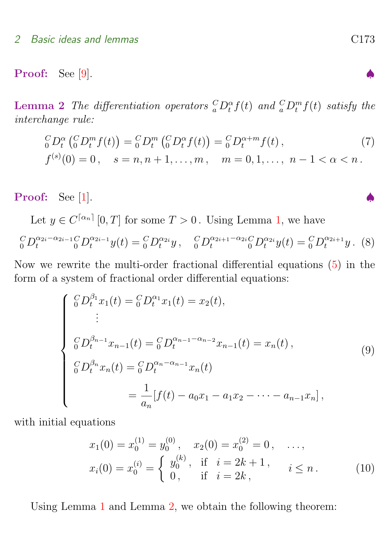#### <span id="page-5-3"></span>2 Basic ideas and lemmas contact the contract of the C173

<span id="page-5-0"></span>**Proof:** See [\[9\]](#page-16-1).

**Lemma 2** The differentiation operators  ${}_{a}^{C}D_{t}^{\alpha}f(t)$  and  ${}_{a}^{C}D_{t}^{m}f(t)$  satisfy the interchange rule:

$$
{}_{0}^{C}D_{t}^{\alpha} \left( {}_{0}^{C}D_{t}^{m} f(t) \right) = {}_{0}^{C}D_{t}^{m} \left( {}_{0}^{C}D_{t}^{\alpha} f(t) \right) = {}_{0}^{C}D_{t}^{\alpha+m} f(t),
$$
  
\n
$$
f^{(s)}(0) = 0, \quad s = n, n + 1, ..., m, \quad m = 0, 1, ..., n - 1 < \alpha < n.
$$
 (7)

Proof: See [\[1\]](#page-15-1).

Let  $y \in C^{\lceil \alpha_n \rceil} [0, T]$  for some  $T > 0$ . Using Lemma [1,](#page-4-1) we have

$$
{}_{0}^{C}D_{t}^{\alpha_{2i}-\alpha_{2i-1}C}D_{t}^{\alpha_{2i-1}}y(t) = {}_{0}^{C}D_{t}^{\alpha_{2i}}y, \quad {}_{0}^{C}D_{t}^{\alpha_{2i+1}-\alpha_{2i}C}D_{t}^{\alpha_{2i}}y(t) = {}_{0}^{C}D_{t}^{\alpha_{2i+1}}y.
$$
 (8)

Now we rewrite the multi-order fractional differential equations [\(5\)](#page-4-2) in the form of a system of fractional order differential equations:

<span id="page-5-1"></span>
$$
\begin{cases}\n{}^{C}_{0}D_{t}^{\beta_{1}}x_{1}(t) = {}^{C}_{0}D_{t}^{\alpha_{1}}x_{1}(t) = x_{2}(t), \\
\vdots \\
{}^{C}_{0}D_{t}^{\beta_{n-1}}x_{n-1}(t) = {}^{C}_{0}D_{t}^{\alpha_{n-1}-\alpha_{n-2}}x_{n-1}(t) = x_{n}(t), \\
{}^{C}_{0}D_{t}^{\beta_{n}}x_{n}(t) = {}^{C}_{0}D_{t}^{\alpha_{n}-\alpha_{n-1}}x_{n}(t) \\
\vdots \\
{}^{C}_{0}D_{t}^{\beta_{n}}x_{n}(t) = {}^{C}_{0}D_{t}^{\alpha_{n}-\alpha_{n-1}}x_{n}(t) \\
\vdots\n\end{cases} \tag{9}
$$

with initial equations

<span id="page-5-2"></span>
$$
x_1(0) = x_0^{(1)} = y_0^{(0)}, \quad x_2(0) = x_0^{(2)} = 0, \quad \dots,
$$
  
\n
$$
x_i(0) = x_0^{(i)} = \begin{cases} y_0^{(k)}, & \text{if } i = 2k + 1, \\ 0, & \text{if } i = 2k, \end{cases} \quad i \leq n.
$$
 (10)

Using Lemma [1](#page-4-1) and Lemma [2,](#page-5-0) we obtain the following theorem: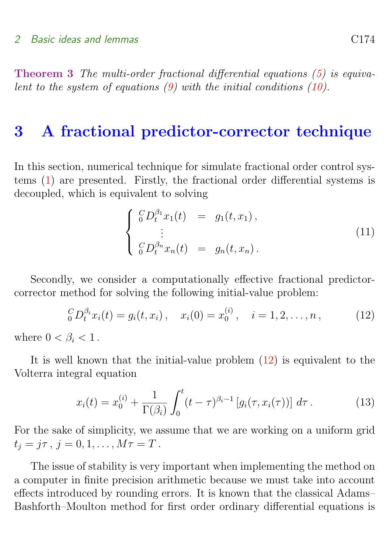Theorem 3 The multi-order fractional differential equations [\(5\)](#page-4-2) is equivalent to the system of equations  $(9)$  with the initial conditions  $(10)$ .

### <span id="page-6-0"></span>3 A fractional predictor-corrector technique

In this section, numerical technique for simulate fractional order control systems [\(1\)](#page-2-1) are presented. Firstly, the fractional order differential systems is decoupled, which is equivalent to solving

<span id="page-6-1"></span>
$$
\begin{cases}\n{}_{0}^{C}D_{t}^{\beta_{1}}x_{1}(t) = g_{1}(t, x_{1}), \\
\vdots \\
{}_{0}^{C}D_{t}^{\beta_{n}}x_{n}(t) = g_{n}(t, x_{n}).\n\end{cases} (11)
$$

Secondly, we consider a computationally effective fractional predictorcorrector method for solving the following initial-value problem:

$$
{}_{0}^{C}D_{t}^{\beta_{i}}x_{i}(t) = g_{i}(t,x_{i}), \quad x_{i}(0) = x_{0}^{(i)}, \quad i = 1,2,\ldots,n,
$$
 (12)

where  $0 < \beta_i < 1$ .

It is well known that the initial-value problem  $(12)$  is equivalent to the Volterra integral equation

$$
x_i(t) = x_0^{(i)} + \frac{1}{\Gamma(\beta_i)} \int_0^t (t - \tau)^{\beta_i - 1} \left[ g_i(\tau, x_i(\tau)) \right] d\tau.
$$
 (13)

For the sake of simplicity, we assume that we are working on a uniform grid  $t_j = j\tau, j = 0, 1, \ldots, M\tau = T$ .

The issue of stability is very important when implementing the method on a computer in finite precision arithmetic because we must take into account effects introduced by rounding errors. It is known that the classical Adams– Bashforth–Moulton method for first order ordinary differential equations is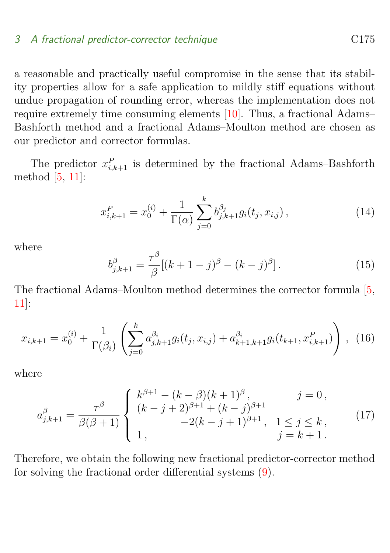#### <span id="page-7-0"></span>3 A fractional predictor-corrector technique C<sub>175</sub>

a reasonable and practically useful compromise in the sense that its stability properties allow for a safe application to mildly stiff equations without undue propagation of rounding error, whereas the implementation does not require extremely time consuming elements [\[10\]](#page-16-2). Thus, a fractional Adams– Bashforth method and a fractional Adams–Moulton method are chosen as our predictor and corrector formulas.

The predictor  $x_{i,k+1}^P$  is determined by the fractional Adams–Bashforth method [\[5,](#page-15-5) [11\]](#page-16-3):

$$
x_{i,k+1}^P = x_0^{(i)} + \frac{1}{\Gamma(\alpha)} \sum_{j=0}^k b_{j,k+1}^{\beta_j} g_i(t_j, x_{i,j}), \qquad (14)
$$

where

$$
b_{j,k+1}^{\beta} = \frac{\tau^{\beta}}{\beta} [(k+1-j)^{\beta} - (k-j)^{\beta}].
$$
 (15)

The fractional Adams–Moulton method determines the corrector formula [\[5,](#page-15-5) [11\]](#page-16-3):

$$
x_{i,k+1} = x_0^{(i)} + \frac{1}{\Gamma(\beta_i)} \left( \sum_{j=0}^k a_{j,k+1}^{\beta_i} g_i(t_j, x_{i,j}) + a_{k+1,k+1}^{\beta_i} g_i(t_{k+1}, x_{i,k+1}^P) \right), \tag{16}
$$

where

$$
a_{j,k+1}^{\beta} = \frac{\tau^{\beta}}{\beta(\beta+1)} \begin{cases} k^{\beta+1} - (k-\beta)(k+1)^{\beta}, & j = 0, \\ (k-j+2)^{\beta+1} + (k-j)^{\beta+1} \\ 1, & -2(k-j+1)^{\beta+1}, & 1 \le j \le k, \\ 1, & j = k+1. \end{cases}
$$
(17)

Therefore, we obtain the following new fractional predictor-corrector method for solving the fractional order differential systems [\(9\)](#page-5-1).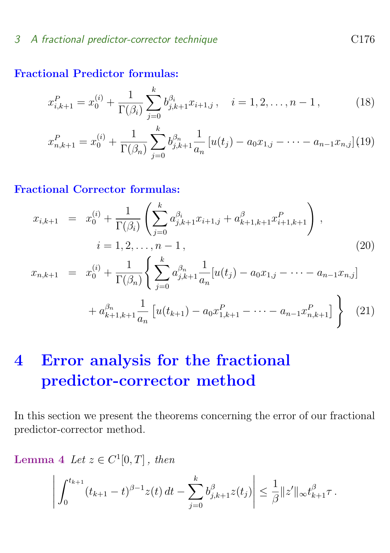#### 3 A fractional predictor-corrector technique C<sub>176</sub>

#### Fractional Predictor formulas:

$$
x_{i,k+1}^P = x_0^{(i)} + \frac{1}{\Gamma(\beta_i)} \sum_{j=0}^k b_{j,k+1}^{\beta_i} x_{i+1,j}, \quad i = 1, 2, \dots, n-1,
$$
 (18)

$$
x_{n,k+1}^P = x_0^{(i)} + \frac{1}{\Gamma(\beta_n)} \sum_{j=0}^k b_{j,k+1}^{\beta_n} \frac{1}{a_n} \left[ u(t_j) - a_0 x_{1,j} - \dots - a_{n-1} x_{n,j} \right] (19)
$$

#### Fractional Corrector formulas:

$$
x_{i,k+1} = x_0^{(i)} + \frac{1}{\Gamma(\beta_i)} \left( \sum_{j=0}^k a_{j,k+1}^{\beta_i} x_{i+1,j} + a_{k+1,k+1}^{\beta_i} x_{i+1,k+1}^P \right),
$$
  
\n
$$
i = 1, 2, ..., n - 1,
$$
  
\n
$$
x_{n,k+1} = x_0^{(i)} + \frac{1}{\Gamma(\beta_n)} \left\{ \sum_{j=0}^k a_{j,k+1}^{\beta_n} \frac{1}{a_n} [u(t_j) - a_0 x_{1,j} - \dots - a_{n-1} x_{n,j}] + a_{k+1,k+1}^{\beta_n} \frac{1}{a_n} [u(t_{k+1}) - a_0 x_{1,k+1}^P - \dots - a_{n-1} x_{n,k+1}^P] \right\}
$$
(21)

## <span id="page-8-0"></span>4 Error analysis for the fractional predictor-corrector method

In this section we present the theorems concerning the error of our fractional predictor-corrector method.

<span id="page-8-1"></span>Lemma 4 Let  $z \in C^1[0,T]$ , then

$$
\left| \int_0^{t_{k+1}} (t_{k+1} - t)^{\beta - 1} z(t) dt - \sum_{j=0}^k b_{j,k+1}^{\beta} z(t_j) \right| \leq \frac{1}{\beta} ||z'||_{\infty} t_{k+1}^{\beta} \tau.
$$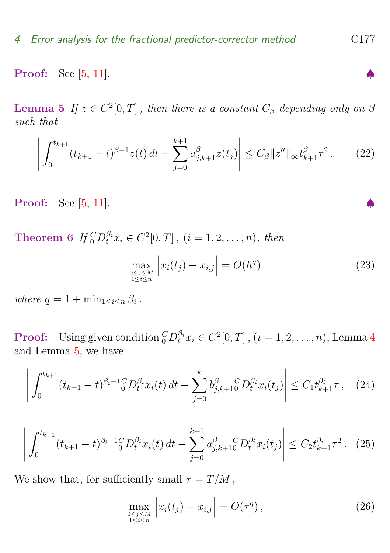<span id="page-9-4"></span><span id="page-9-0"></span>Proof: See [\[5,](#page-15-5) [11\]](#page-16-3).

**Lemma 5** If  $z \in C^2[0,T]$ , then there is a constant  $C_\beta$  depending only on  $\beta$ such that

$$
\left| \int_0^{t_{k+1}} (t_{k+1} - t)^{\beta - 1} z(t) dt - \sum_{j=0}^{k+1} a_{j,k+1}^\beta z(t_j) \right| \le C_\beta \| z'' \|_\infty t_{k+1}^\beta \tau^2. \tag{22}
$$

Proof: See [\[5,](#page-15-5) [11\]](#page-16-3).

**Theorem 6** If  ${}_{0}^{C}D_{t}^{\beta_{i}}x_{i} \in C^{2}[0, T]$ ,  $(i = 1, 2, ..., n)$ , then

<span id="page-9-2"></span>
$$
\max_{\substack{0 \le j \le M \\ 1 \le i \le n}} \left| x_i(t_j) - x_{i,j} \right| = O(h^q) \tag{23}
$$

where  $q = 1 + \min_{1 \leq i \leq n} \beta_i$ .

**Proof:** Using given condition  ${}_0^C D_t^{\beta_i} x_i \in C^2[0,T]$ ,  $(i = 1, 2, ..., n)$ , Lemma [4](#page-8-1) and Lemma [5,](#page-9-0) we have

$$
\left| \int_0^{t_{k+1}} (t_{k+1} - t)^{\beta_i - 1} \zeta D_t^{\beta_i} x_i(t) dt - \sum_{j=0}^k b_{j,k+1}^{\beta} \zeta D_t^{\beta_i} x_i(t_j) \right| \le C_1 t_{k+1}^{\beta_i} \tau \,, \quad (24)
$$

<span id="page-9-3"></span>
$$
\left| \int_0^{t_{k+1}} (t_{k+1} - t)^{\beta_i - 1} \zeta D_t^{\beta_i} x_i(t) dt - \sum_{j=0}^{k+1} a_{j,k+1}^{\beta} C D_t^{\beta_i} x_i(t_j) \right| \le C_2 t_{k+1}^{\beta_i} \tau^2. \tag{25}
$$

We show that, for sufficiently small  $\tau = T/M$ ,

<span id="page-9-1"></span>
$$
\max_{\substack{0 \le j \le M \\ 1 \le i \le n}} \left| x_i(t_j) - x_{i,j} \right| = O(\tau^q), \tag{26}
$$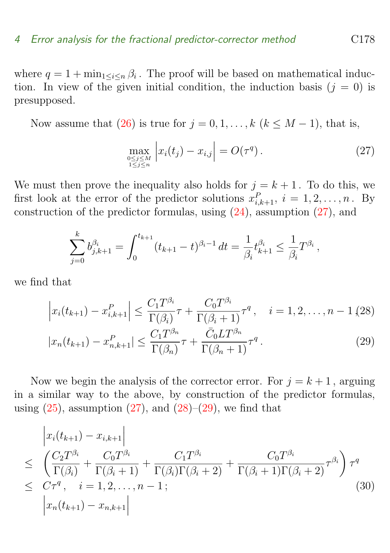where  $q = 1 + \min_{1 \leq i \leq n} \beta_i$ . The proof will be based on mathematical induction. In view of the given initial condition, the induction basis  $(j = 0)$  is presupposed.

Now assume that  $(26)$  is true for  $j = 0, 1, \ldots, k$   $(k \leq M - 1)$ , that is,

<span id="page-10-0"></span>
$$
\max_{\substack{0 \le j \le M \\ 1 \le j \le n}} \left| x_i(t_j) - x_{i,j} \right| = O(\tau^q). \tag{27}
$$

We must then prove the inequality also holds for  $j = k + 1$ . To do this, we first look at the error of the predictor solutions  $x_{i,k+1}^P$ ,  $i = 1, 2, \ldots, n$ . By construction of the predictor formulas, using [\(24\)](#page-9-2), assumption [\(27\)](#page-10-0), and

$$
\sum_{j=0}^k b_{j,k+1}^{\beta_i} = \int_0^{t_{k+1}} (t_{k+1} - t)^{\beta_i - 1} dt = \frac{1}{\beta_i} t_{k+1}^{\beta_i} \le \frac{1}{\beta_i} T^{\beta_i},
$$

we find that

<span id="page-10-1"></span>
$$
\left| x_i(t_{k+1}) - x_{i,k+1}^P \right| \le \frac{C_1 T^{\beta_i}}{\Gamma(\beta_i)} \tau + \frac{C_0 T^{\beta_i}}{\Gamma(\beta_i + 1)} \tau^q, \quad i = 1, 2, \dots, n - 1 \text{ (28)}
$$
\n
$$
|x_n(t_{k+1}) - x_{n,k+1}^P| \le \frac{C_1 T^{\beta_n}}{\Gamma(\beta_n)} \tau + \frac{\bar{C}_0 L T^{\beta_n}}{\Gamma(\beta_n + 1)} \tau^q. \tag{29}
$$

Now we begin the analysis of the corrector error. For  $j = k + 1$ , arguing in a similar way to the above, by construction of the predictor formulas, using  $(25)$ , assumption  $(27)$ , and  $(28)$ – $(29)$ , we find that

$$
\begin{aligned}\n&\left|x_{i}(t_{k+1})-x_{i,k+1}\right| \\
&\leq \left(\frac{C_{2}T^{\beta_{i}}}{\Gamma(\beta_{i})}+\frac{C_{0}T^{\beta_{i}}}{\Gamma(\beta_{i}+1)}+\frac{C_{1}T^{\beta_{i}}}{\Gamma(\beta_{i})\Gamma(\beta_{i}+2)}+\frac{C_{0}T^{\beta_{i}}}{\Gamma(\beta_{i}+1)\Gamma(\beta_{i}+2)}\tau^{\beta_{i}}\right)\tau^{q} \\
&\leq C\tau^{q}, \quad i=1,2,\ldots,n-1; \\
&\left|x_{n}(t_{k+1})-x_{n,k+1}\right| \n\end{aligned} \tag{30}
$$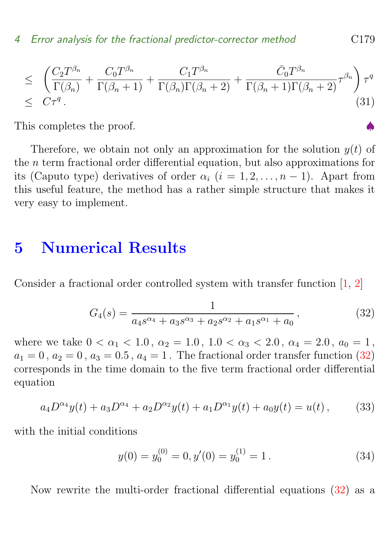<span id="page-11-2"></span>
$$
\leq \left( \frac{C_2 T^{\beta_n}}{\Gamma(\beta_n)} + \frac{C_0 T^{\beta_n}}{\Gamma(\beta_n + 1)} + \frac{C_1 T^{\beta_n}}{\Gamma(\beta_n) \Gamma(\beta_n + 2)} + \frac{\bar{C}_0 T^{\beta_n}}{\Gamma(\beta_n + 1) \Gamma(\beta_n + 2)} \tau^{\beta_n} \right) \tau^q
$$
\n
$$
\leq C \tau^q.
$$
\n(31)

This completes the proof.

Therefore, we obtain not only an approximation for the solution  $y(t)$  of the n term fractional order differential equation, but also approximations for its (Caputo type) derivatives of order  $\alpha_i$  (i = 1, 2, ..., n – 1). Apart from this useful feature, the method has a rather simple structure that makes it very easy to implement.

## <span id="page-11-0"></span>5 Numerical Results

Consider a fractional order controlled system with transfer function [\[1,](#page-15-1) [2\]](#page-15-2)

<span id="page-11-1"></span>
$$
G_4(s) = \frac{1}{a_4 s^{\alpha_4} + a_3 s^{\alpha_3} + a_2 s^{\alpha_2} + a_1 s^{\alpha_1} + a_0},\tag{32}
$$

where we take  $0 < \alpha_1 < 1.0$ ,  $\alpha_2 = 1.0$ ,  $1.0 < \alpha_3 < 2.0$ ,  $\alpha_4 = 2.0$ ,  $a_0 = 1$ ,  $a_1 = 0$ ,  $a_2 = 0$ ,  $a_3 = 0.5$ ,  $a_4 = 1$ . The fractional order transfer function [\(32\)](#page-11-1) corresponds in the time domain to the five term fractional order differential equation

$$
a_4 D^{\alpha_4} y(t) + a_3 D^{\alpha_4} + a_2 D^{\alpha_2} y(t) + a_1 D^{\alpha_1} y(t) + a_0 y(t) = u(t), \qquad (33)
$$

with the initial conditions

$$
y(0) = y_0^{(0)} = 0, y'(0) = y_0^{(1)} = 1.
$$
\n(34)

Now rewrite the multi-order fractional differential equations [\(32\)](#page-11-1) as a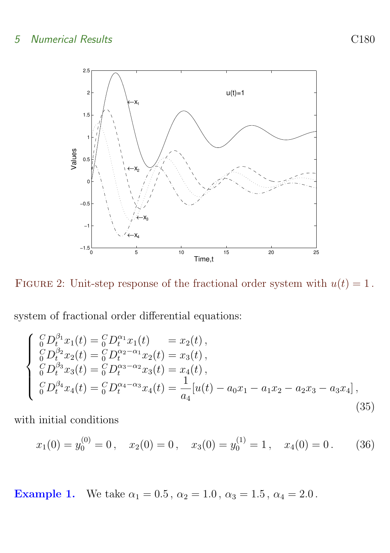#### 5 Numerical Results C180



<span id="page-12-0"></span>FIGURE 2: Unit-step response of the fractional order system with  $u(t) = 1$ .

system of fractional order differential equations:

$$
\begin{cases}\n{}_{0}^{C}D_{t}^{\beta_{1}}x_{1}(t) = {}_{0}^{C}D_{t}^{\alpha_{1}}x_{1}(t) = x_{2}(t), \n{}_{0}^{C}D_{t}^{\beta_{2}}x_{2}(t) = {}_{0}^{C}D_{t}^{\alpha_{2}-\alpha_{1}}x_{2}(t) = x_{3}(t), \n{}_{0}^{C}D_{t}^{\beta_{3}}x_{3}(t) = {}_{0}^{C}D_{t}^{\alpha_{3}-\alpha_{2}}x_{3}(t) = x_{4}(t), \n{}_{0}^{C}D_{t}^{\beta_{4}}x_{4}(t) = {}_{0}^{C}D_{t}^{\alpha_{4}-\alpha_{3}}x_{4}(t) = \frac{1}{a_{4}}[u(t) - a_{0}x_{1} - a_{1}x_{2} - a_{2}x_{3} - a_{3}x_{4}], \n\end{cases}
$$
\n(35)

with initial conditions

$$
x_1(0) = y_0^{(0)} = 0
$$
,  $x_2(0) = 0$ ,  $x_3(0) = y_0^{(1)} = 1$ ,  $x_4(0) = 0$ . (36)

Example 1. We take  $\alpha_1 = 0.5$ ,  $\alpha_2 = 1.0$ ,  $\alpha_3 = 1.5$ ,  $\alpha_4 = 2.0$ .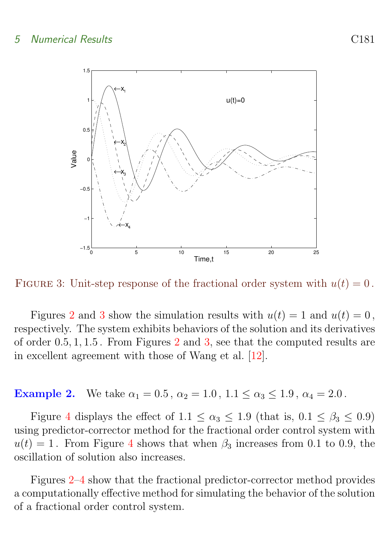<span id="page-13-1"></span>

<span id="page-13-0"></span>FIGURE 3: Unit-step response of the fractional order system with  $u(t) = 0$ .

Figures [2](#page-12-0) and [3](#page-13-0) show the simulation results with  $u(t) = 1$  and  $u(t) = 0$ , respectively. The system exhibits behaviors of the solution and its derivatives of order 0.5, 1, 1.5 . From Figures [2](#page-12-0) and [3,](#page-13-0) see that the computed results are in excellent agreement with those of Wang et al. [\[12\]](#page-16-4).

**Example 2.** We take  $\alpha_1 = 0.5$ ,  $\alpha_2 = 1.0$ ,  $1.1 \leq \alpha_3 \leq 1.9$ ,  $\alpha_4 = 2.0$ .

Figure [4](#page-14-1) displays the effect of  $1.1 \leq \alpha_3 \leq 1.9$  (that is,  $0.1 \leq \beta_3 \leq 0.9$ ) using predictor-corrector method for the fractional order control system with  $u(t) = 1$ . From Figure [4](#page-14-1) shows that when  $\beta_3$  increases from 0.1 to 0.9, the oscillation of solution also increases.

Figures [2–](#page-12-0)[4](#page-14-1) show that the fractional predictor-corrector method provides a computationally effective method for simulating the behavior of the solution of a fractional order control system.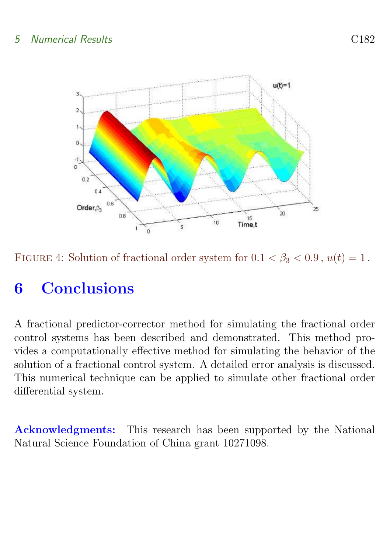#### 5 Numerical Results C182



<span id="page-14-1"></span>FIGURE 4: Solution of fractional order system for  $0.1 < \beta_3 < 0.9$ ,  $u(t) = 1$ .

## <span id="page-14-0"></span>6 Conclusions

A fractional predictor-corrector method for simulating the fractional order control systems has been described and demonstrated. This method provides a computationally effective method for simulating the behavior of the solution of a fractional control system. A detailed error analysis is discussed. This numerical technique can be applied to simulate other fractional order differential system.

Acknowledgments: This research has been supported by the National Natural Science Foundation of China grant 10271098.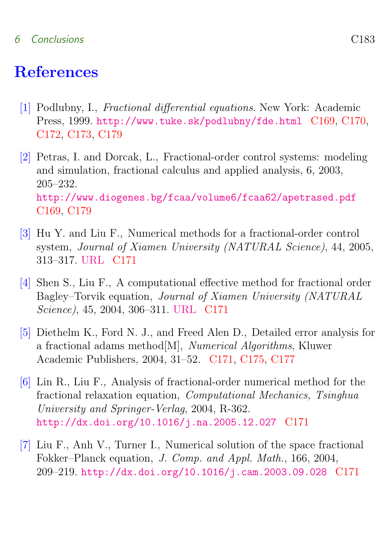#### 6 Conclusions C183

## References

- <span id="page-15-1"></span><span id="page-15-0"></span>[1] Podlubny, I., Fractional differential equations. New York: Academic Press, 1999. <http://www.tuke.sk/podlubny/fde.html> [C169,](#page-1-1) [C170,](#page-2-2) [C172,](#page-4-3) [C173,](#page-5-3) [C179](#page-11-2)
- <span id="page-15-2"></span>[2] Petras, I. and Dorcak, L., Fractional-order control systems: modeling and simulation, fractional calculus and applied analysis, 6, 2003, 205–232. <http://www.diogenes.bg/fcaa/volume6/fcaa62/apetrased.pdf> [C169,](#page-1-1) [C179](#page-11-2)
- <span id="page-15-3"></span>[3] Hu Y. and Liu F., Numerical methods for a fractional-order control system, Journal of Xiamen University (NATURAL Science), 44, 2005, 313–317. [URL](http://www.wanfangdata.com.cn/qikan/periodical.Articles/xmdxxb/xmdx2005/0503/050306.htm) [C171](#page-3-0)
- <span id="page-15-4"></span>[4] Shen S., Liu F., A computational effective method for fractional order Bagley–Torvik equation, Journal of Xiamen University (NATURAL Science), 45, 2004, 306–311. [URL](http://www.wanfangdata.com.cn/qikan/periodical.Articles/xmdxxb/xmdx2004/0403/040307.htm) [C171](#page-3-0)
- <span id="page-15-5"></span>[5] Diethelm K., Ford N. J., and Freed Alen D., Detailed error analysis for a fractional adams method[M], Numerical Algorithms, Kluwer Academic Publishers, 2004, 31–52. [C171,](#page-3-0) [C175,](#page-7-0) [C177](#page-9-4)
- <span id="page-15-6"></span>[6] Lin R., Liu F., Analysis of fractional-order numerical method for the fractional relaxation equation, Computational Mechanics, Tsinghua University and Springer-Verlag, 2004, R-362. <http://dx.doi.org/10.1016/j.na.2005.12.027> [C171](#page-3-0)
- <span id="page-15-7"></span>[7] Liu F., Anh V., Turner I., Numerical solution of the space fractional Fokker–Planck equation, J. Comp. and Appl. Math., 166, 2004, 209–219. <http://dx.doi.org/10.1016/j.cam.2003.09.028> [C171](#page-3-0)